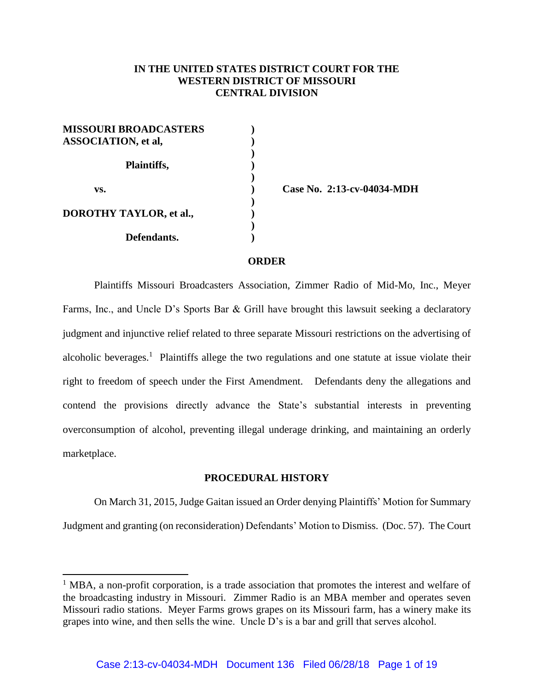# **IN THE UNITED STATES DISTRICT COURT FOR THE WESTERN DISTRICT OF MISSOURI CENTRAL DIVISION**

| <b>MISSOURI BROADCASTERS</b><br><b>ASSOCIATION</b> , et al, |  |
|-------------------------------------------------------------|--|
| <b>Plaintiffs,</b>                                          |  |
| VS.                                                         |  |
| <b>DOROTHY TAYLOR, et al.,</b>                              |  |
| Defendants.                                                 |  |

l

**vs. ) Case No. 2:13-cv-04034-MDH**

#### **ORDER**

Plaintiffs Missouri Broadcasters Association, Zimmer Radio of Mid-Mo, Inc., Meyer Farms, Inc., and Uncle D's Sports Bar & Grill have brought this lawsuit seeking a declaratory judgment and injunctive relief related to three separate Missouri restrictions on the advertising of alcoholic beverages.<sup>1</sup> Plaintiffs allege the two regulations and one statute at issue violate their right to freedom of speech under the First Amendment. Defendants deny the allegations and contend the provisions directly advance the State's substantial interests in preventing overconsumption of alcohol, preventing illegal underage drinking, and maintaining an orderly marketplace.

#### **PROCEDURAL HISTORY**

On March 31, 2015, Judge Gaitan issued an Order denying Plaintiffs' Motion for Summary Judgment and granting (on reconsideration) Defendants' Motion to Dismiss. (Doc. 57). The Court

 $<sup>1</sup>$  MBA, a non-profit corporation, is a trade association that promotes the interest and welfare of</sup> the broadcasting industry in Missouri. Zimmer Radio is an MBA member and operates seven Missouri radio stations. Meyer Farms grows grapes on its Missouri farm, has a winery make its grapes into wine, and then sells the wine. Uncle D's is a bar and grill that serves alcohol.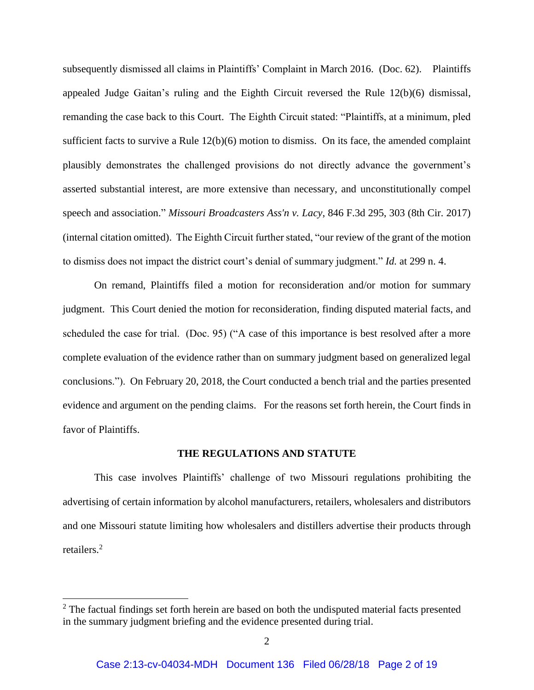subsequently dismissed all claims in Plaintiffs' Complaint in March 2016. (Doc. 62). Plaintiffs appealed Judge Gaitan's ruling and the Eighth Circuit reversed the Rule 12(b)(6) dismissal, remanding the case back to this Court. The Eighth Circuit stated: "Plaintiffs, at a minimum, pled sufficient facts to survive a Rule  $12(b)(6)$  motion to dismiss. On its face, the amended complaint plausibly demonstrates the challenged provisions do not directly advance the government's asserted substantial interest, are more extensive than necessary, and unconstitutionally compel speech and association." *Missouri Broadcasters Ass'n v. Lacy*, 846 F.3d 295, 303 (8th Cir. 2017) (internal citation omitted). The Eighth Circuit further stated, "our review of the grant of the motion to dismiss does not impact the district court's denial of summary judgment." *Id.* at 299 n. 4.

On remand, Plaintiffs filed a motion for reconsideration and/or motion for summary judgment. This Court denied the motion for reconsideration, finding disputed material facts, and scheduled the case for trial. (Doc. 95) ("A case of this importance is best resolved after a more complete evaluation of the evidence rather than on summary judgment based on generalized legal conclusions."). On February 20, 2018, the Court conducted a bench trial and the parties presented evidence and argument on the pending claims. For the reasons set forth herein, the Court finds in favor of Plaintiffs.

#### **THE REGULATIONS AND STATUTE**

This case involves Plaintiffs' challenge of two Missouri regulations prohibiting the advertising of certain information by alcohol manufacturers, retailers, wholesalers and distributors and one Missouri statute limiting how wholesalers and distillers advertise their products through retailers. 2

<sup>&</sup>lt;sup>2</sup> The factual findings set forth herein are based on both the undisputed material facts presented in the summary judgment briefing and the evidence presented during trial.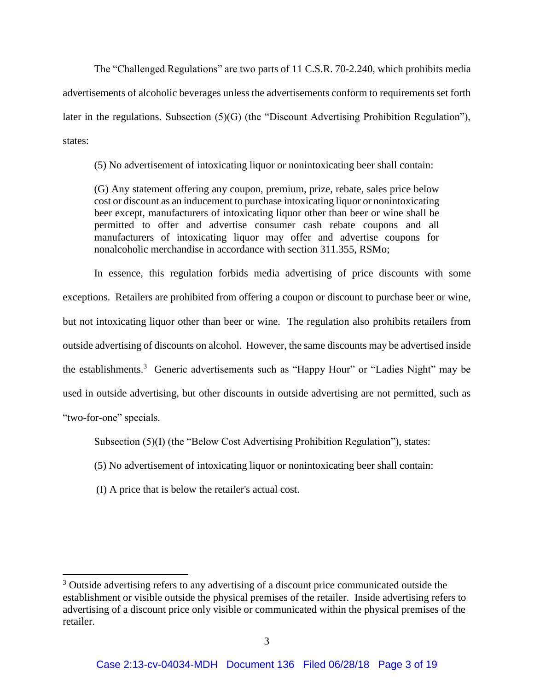The "Challenged Regulations" are two parts of 11 C.S.R. 70-2.240, which prohibits media advertisements of alcoholic beverages unless the advertisements conform to requirements set forth later in the regulations. Subsection (5)(G) (the "Discount Advertising Prohibition Regulation"), states:

(5) No advertisement of intoxicating liquor or nonintoxicating beer shall contain:

(G) Any statement offering any coupon, premium, prize, rebate, sales price below cost or discount as an inducement to purchase intoxicating liquor or nonintoxicating beer except, manufacturers of intoxicating liquor other than beer or wine shall be permitted to offer and advertise consumer cash rebate coupons and all manufacturers of intoxicating liquor may offer and advertise coupons for nonalcoholic merchandise in accordance with section 311.355, RSMo;

In essence, this regulation forbids media advertising of price discounts with some exceptions. Retailers are prohibited from offering a coupon or discount to purchase beer or wine, but not intoxicating liquor other than beer or wine. The regulation also prohibits retailers from outside advertising of discounts on alcohol. However, the same discounts may be advertised inside the establishments.<sup>3</sup> Generic advertisements such as "Happy Hour" or "Ladies Night" may be used in outside advertising, but other discounts in outside advertising are not permitted, such as "two-for-one" specials.

Subsection  $(5)(I)$  (the "Below Cost Advertising Prohibition Regulation"), states:

- (5) No advertisement of intoxicating liquor or nonintoxicating beer shall contain:
- (I) A price that is below the retailer's actual cost.

l

<sup>&</sup>lt;sup>3</sup> Outside advertising refers to any advertising of a discount price communicated outside the establishment or visible outside the physical premises of the retailer. Inside advertising refers to advertising of a discount price only visible or communicated within the physical premises of the retailer.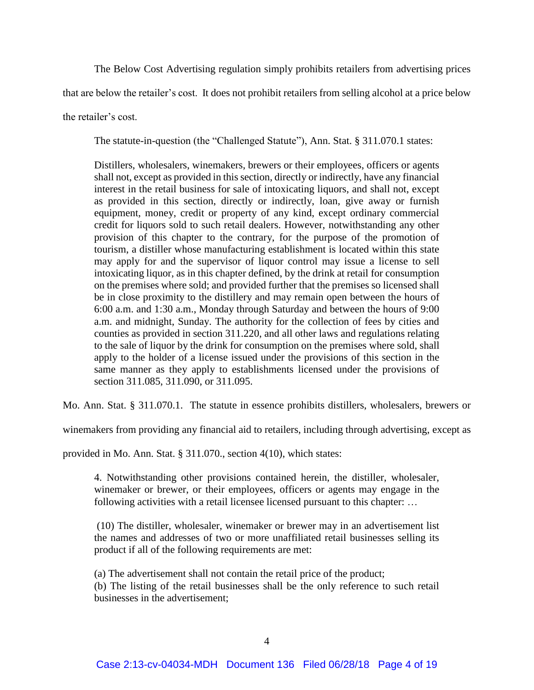The Below Cost Advertising regulation simply prohibits retailers from advertising prices

that are below the retailer's cost. It does not prohibit retailers from selling alcohol at a price below

the retailer's cost.

The statute-in-question (the "Challenged Statute"), Ann. Stat. § 311.070.1 states:

Distillers, wholesalers, winemakers, brewers or their employees, officers or agents shall not, except as provided in this section, directly or indirectly, have any financial interest in the retail business for sale of intoxicating liquors, and shall not, except as provided in this section, directly or indirectly, loan, give away or furnish equipment, money, credit or property of any kind, except ordinary commercial credit for liquors sold to such retail dealers. However, notwithstanding any other provision of this chapter to the contrary, for the purpose of the promotion of tourism, a distiller whose manufacturing establishment is located within this state may apply for and the supervisor of liquor control may issue a license to sell intoxicating liquor, as in this chapter defined, by the drink at retail for consumption on the premises where sold; and provided further that the premises so licensed shall be in close proximity to the distillery and may remain open between the hours of 6:00 a.m. and 1:30 a.m., Monday through Saturday and between the hours of 9:00 a.m. and midnight, Sunday. The authority for the collection of fees by cities and counties as provided in section 311.220, and all other laws and regulations relating to the sale of liquor by the drink for consumption on the premises where sold, shall apply to the holder of a license issued under the provisions of this section in the same manner as they apply to establishments licensed under the provisions of section 311.085, 311.090, or 311.095.

Mo. Ann. Stat. § 311.070.1. The statute in essence prohibits distillers, wholesalers, brewers or

winemakers from providing any financial aid to retailers, including through advertising, except as

provided in Mo. Ann. Stat. § 311.070., section 4(10), which states:

4. Notwithstanding other provisions contained herein, the distiller, wholesaler, winemaker or brewer, or their employees, officers or agents may engage in the following activities with a retail licensee licensed pursuant to this chapter: …

(10) The distiller, wholesaler, winemaker or brewer may in an advertisement list the names and addresses of two or more unaffiliated retail businesses selling its product if all of the following requirements are met:

(a) The advertisement shall not contain the retail price of the product;

(b) The listing of the retail businesses shall be the only reference to such retail businesses in the advertisement;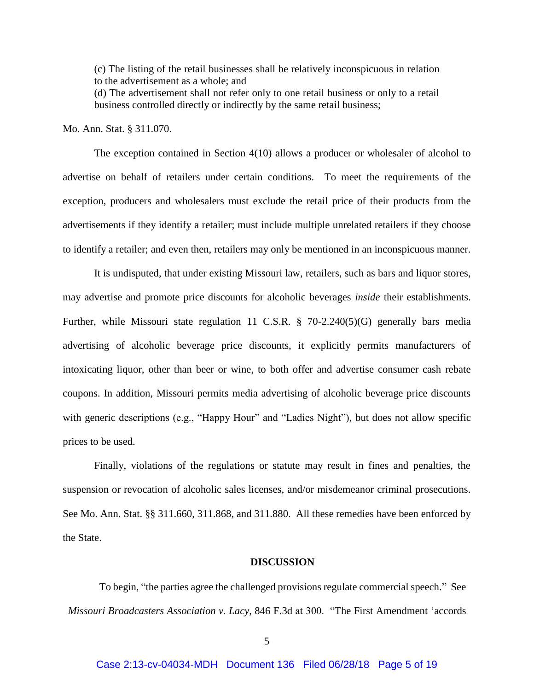(c) The listing of the retail businesses shall be relatively inconspicuous in relation to the advertisement as a whole; and

(d) The advertisement shall not refer only to one retail business or only to a retail business controlled directly or indirectly by the same retail business;

Mo. Ann. Stat. § 311.070.

The exception contained in Section 4(10) allows a producer or wholesaler of alcohol to advertise on behalf of retailers under certain conditions. To meet the requirements of the exception, producers and wholesalers must exclude the retail price of their products from the advertisements if they identify a retailer; must include multiple unrelated retailers if they choose to identify a retailer; and even then, retailers may only be mentioned in an inconspicuous manner.

It is undisputed, that under existing Missouri law, retailers, such as bars and liquor stores, may advertise and promote price discounts for alcoholic beverages *inside* their establishments. Further, while Missouri state regulation 11 C.S.R. § 70-2.240(5)(G) generally bars media advertising of alcoholic beverage price discounts, it explicitly permits manufacturers of intoxicating liquor, other than beer or wine, to both offer and advertise consumer cash rebate coupons. In addition, Missouri permits media advertising of alcoholic beverage price discounts with generic descriptions (e.g., "Happy Hour" and "Ladies Night"), but does not allow specific prices to be used.

Finally, violations of the regulations or statute may result in fines and penalties, the suspension or revocation of alcoholic sales licenses, and/or misdemeanor criminal prosecutions. See Mo. Ann. Stat. §§ 311.660, 311.868, and 311.880. All these remedies have been enforced by the State.

#### **DISCUSSION**

To begin, "the parties agree the challenged provisions regulate commercial speech." See *Missouri Broadcasters Association v. Lacy*, 846 F.3d at 300. "The First Amendment 'accords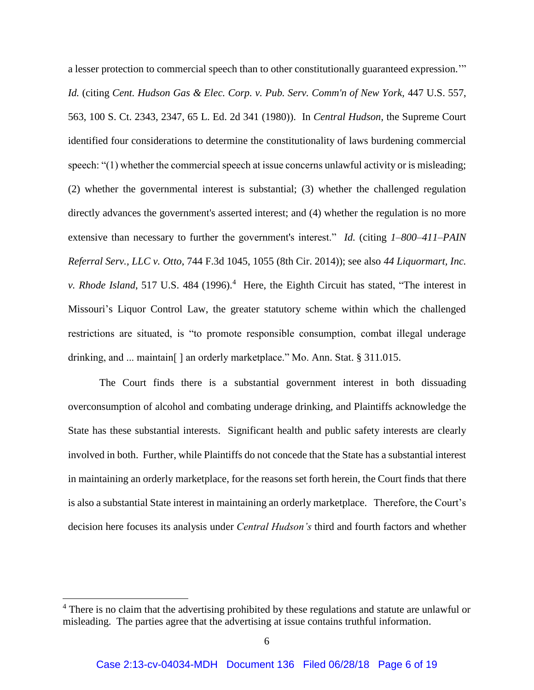a lesser protection to commercial speech than to other constitutionally guaranteed expression.'" *Id.* (citing *Cent. Hudson Gas & Elec. Corp. v. Pub. Serv. Comm'n of New York,* 447 U.S. 557, 563, 100 S. Ct. 2343, 2347, 65 L. Ed. 2d 341 (1980)). In *Central Hudson*, the Supreme Court identified four considerations to determine the constitutionality of laws burdening commercial speech: "(1) whether the commercial speech at issue concerns unlawful activity or is misleading; (2) whether the governmental interest is substantial; (3) whether the challenged regulation directly advances the government's asserted interest; and (4) whether the regulation is no more extensive than necessary to further the government's interest." *Id.* (citing *1–800–411–PAIN Referral Serv., LLC v. Otto*, 744 F.3d 1045, 1055 (8th Cir. 2014)); see also *44 Liquormart, Inc.*  v. *Rhode Island*, 517 U.S. 484 (1996).<sup>4</sup> Here, the Eighth Circuit has stated, "The interest in Missouri's Liquor Control Law, the greater statutory scheme within which the challenged restrictions are situated, is "to promote responsible consumption, combat illegal underage drinking, and ... maintain[ ] an orderly marketplace." Mo. Ann. Stat. § 311.015.

The Court finds there is a substantial government interest in both dissuading overconsumption of alcohol and combating underage drinking, and Plaintiffs acknowledge the State has these substantial interests. Significant health and public safety interests are clearly involved in both. Further, while Plaintiffs do not concede that the State has a substantial interest in maintaining an orderly marketplace, for the reasons set forth herein, the Court finds that there is also a substantial State interest in maintaining an orderly marketplace. Therefore, the Court's decision here focuses its analysis under *Central Hudson's* third and fourth factors and whether

<sup>&</sup>lt;sup>4</sup> There is no claim that the advertising prohibited by these regulations and statute are unlawful or misleading. The parties agree that the advertising at issue contains truthful information.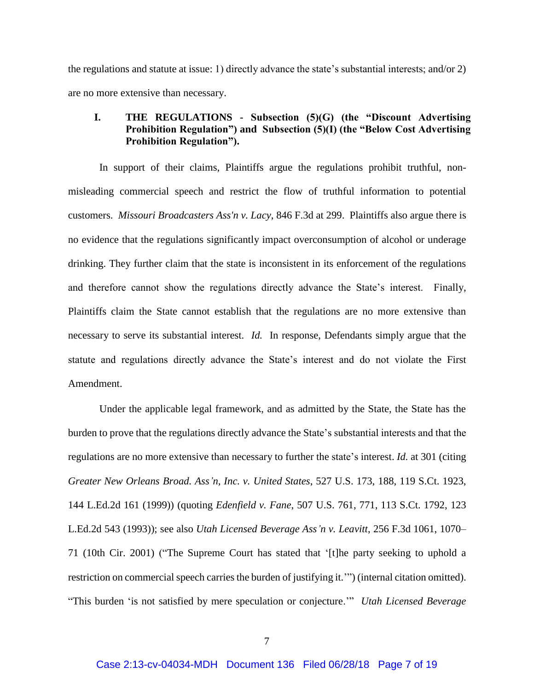the regulations and statute at issue: 1) directly advance the state's substantial interests; and/or 2) are no more extensive than necessary.

## **I. THE REGULATIONS - Subsection (5)(G) (the "Discount Advertising Prohibition Regulation") and Subsection (5)(I) (the "Below Cost Advertising Prohibition Regulation").**

In support of their claims, Plaintiffs argue the regulations prohibit truthful, nonmisleading commercial speech and restrict the flow of truthful information to potential customers. *Missouri Broadcasters Ass'n v. Lacy*, 846 F.3d at 299. Plaintiffs also argue there is no evidence that the regulations significantly impact overconsumption of alcohol or underage drinking. They further claim that the state is inconsistent in its enforcement of the regulations and therefore cannot show the regulations directly advance the State's interest. Finally, Plaintiffs claim the State cannot establish that the regulations are no more extensive than necessary to serve its substantial interest. *Id.* In response, Defendants simply argue that the statute and regulations directly advance the State's interest and do not violate the First Amendment.

Under the applicable legal framework, and as admitted by the State, the State has the burden to prove that the regulations directly advance the State's substantial interests and that the regulations are no more extensive than necessary to further the state's interest. *Id.* at 301 (citing *Greater New Orleans Broad. Ass'n, Inc. v. United States*, 527 U.S. 173, 188, 119 S.Ct. 1923, 144 L.Ed.2d 161 (1999)) (quoting *Edenfield v. Fane*, 507 U.S. 761, 771, 113 S.Ct. 1792, 123 L.Ed.2d 543 (1993)); see also *Utah Licensed Beverage Ass'n v. Leavitt*, 256 F.3d 1061, 1070– 71 (10th Cir. 2001) ("The Supreme Court has stated that '[t]he party seeking to uphold a restriction on commercial speech carries the burden of justifying it.'") (internal citation omitted). "This burden 'is not satisfied by mere speculation or conjecture.'" *Utah Licensed Beverage*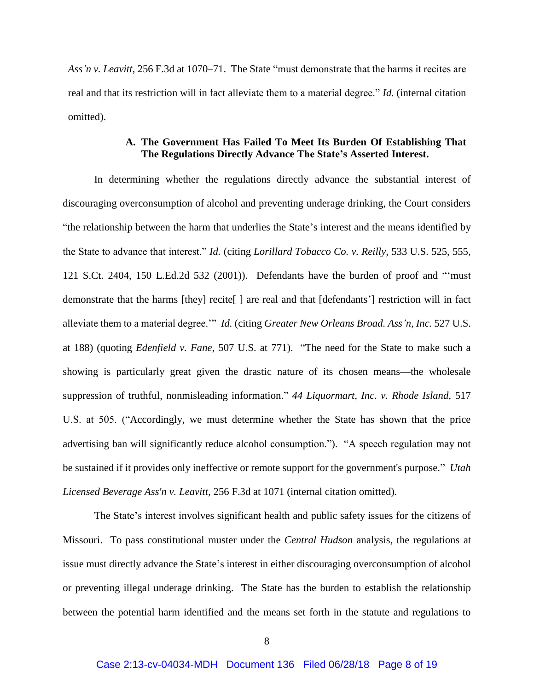*Ass'n v. Leavitt*, 256 F.3d at 1070–71. The State "must demonstrate that the harms it recites are real and that its restriction will in fact alleviate them to a material degree." *Id.* (internal citation omitted).

### **A. The Government Has Failed To Meet Its Burden Of Establishing That The Regulations Directly Advance The State's Asserted Interest.**

In determining whether the regulations directly advance the substantial interest of discouraging overconsumption of alcohol and preventing underage drinking, the Court considers "the relationship between the harm that underlies the State's interest and the means identified by the State to advance that interest." *Id.* (citing *Lorillard Tobacco Co. v. Reilly,* 533 U.S. 525, 555, 121 S.Ct. 2404, 150 L.Ed.2d 532 (2001)). Defendants have the burden of proof and "'must demonstrate that the harms [they] recite[ ] are real and that [defendants'] restriction will in fact alleviate them to a material degree.'" *Id.* (citing *Greater New Orleans Broad. Ass'n, Inc.* 527 U.S. at 188) (quoting *Edenfield v. Fane*, 507 U.S. at 771). "The need for the State to make such a showing is particularly great given the drastic nature of its chosen means—the wholesale suppression of truthful, nonmisleading information." *44 Liquormart, Inc. v. Rhode Island,* 517 U.S. at 505. ("Accordingly, we must determine whether the State has shown that the price advertising ban will significantly reduce alcohol consumption."). "A speech regulation may not be sustained if it provides only ineffective or remote support for the government's purpose." *Utah Licensed Beverage Ass'n v. Leavitt,* 256 F.3d at 1071 (internal citation omitted).

The State's interest involves significant health and public safety issues for the citizens of Missouri. To pass constitutional muster under the *Central Hudson* analysis, the regulations at issue must directly advance the State's interest in either discouraging overconsumption of alcohol or preventing illegal underage drinking. The State has the burden to establish the relationship between the potential harm identified and the means set forth in the statute and regulations to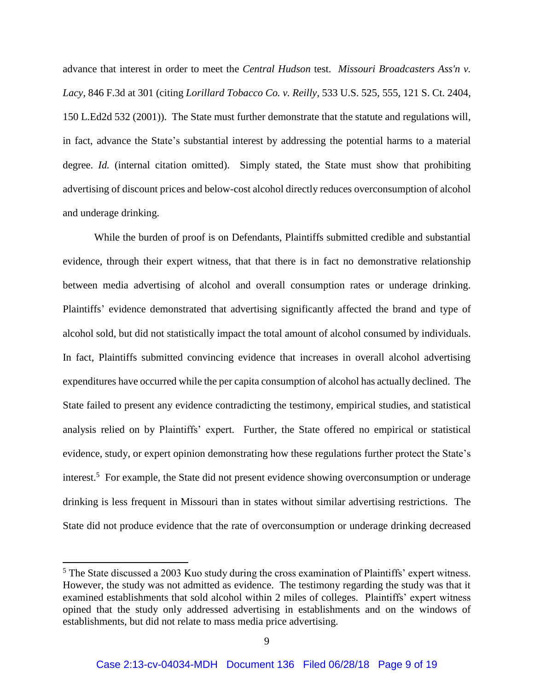advance that interest in order to meet the *Central Hudson* test. *Missouri Broadcasters Ass'n v. Lacy*, 846 F.3d at 301 (citing *Lorillard Tobacco Co. v. Reilly*, 533 U.S. 525, 555, 121 S. Ct. 2404, 150 L.Ed2d 532 (2001)). The State must further demonstrate that the statute and regulations will, in fact, advance the State's substantial interest by addressing the potential harms to a material degree. *Id.* (internal citation omitted). Simply stated, the State must show that prohibiting advertising of discount prices and below-cost alcohol directly reduces overconsumption of alcohol and underage drinking.

While the burden of proof is on Defendants, Plaintiffs submitted credible and substantial evidence, through their expert witness, that that there is in fact no demonstrative relationship between media advertising of alcohol and overall consumption rates or underage drinking. Plaintiffs' evidence demonstrated that advertising significantly affected the brand and type of alcohol sold, but did not statistically impact the total amount of alcohol consumed by individuals. In fact, Plaintiffs submitted convincing evidence that increases in overall alcohol advertising expenditures have occurred while the per capita consumption of alcohol has actually declined. The State failed to present any evidence contradicting the testimony, empirical studies, and statistical analysis relied on by Plaintiffs' expert. Further, the State offered no empirical or statistical evidence, study, or expert opinion demonstrating how these regulations further protect the State's interest.<sup>5</sup> For example, the State did not present evidence showing overconsumption or underage drinking is less frequent in Missouri than in states without similar advertising restrictions. The State did not produce evidence that the rate of overconsumption or underage drinking decreased

 $\overline{\phantom{a}}$ 

<sup>&</sup>lt;sup>5</sup> The State discussed a 2003 Kuo study during the cross examination of Plaintiffs' expert witness. However, the study was not admitted as evidence. The testimony regarding the study was that it examined establishments that sold alcohol within 2 miles of colleges. Plaintiffs' expert witness opined that the study only addressed advertising in establishments and on the windows of establishments, but did not relate to mass media price advertising.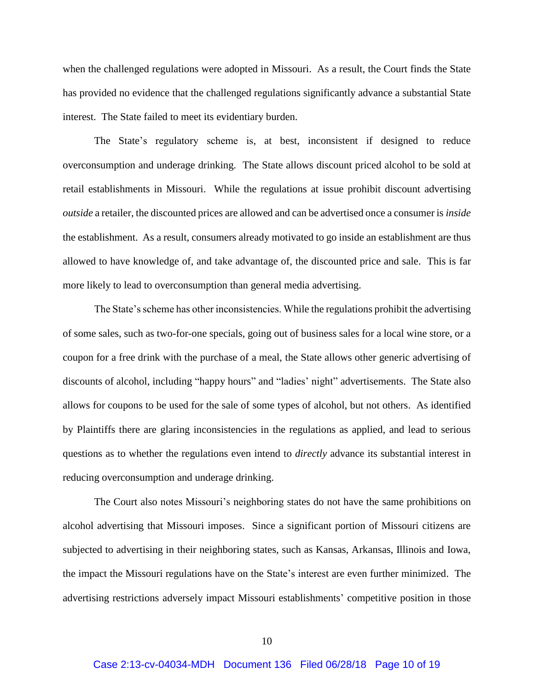when the challenged regulations were adopted in Missouri. As a result, the Court finds the State has provided no evidence that the challenged regulations significantly advance a substantial State interest. The State failed to meet its evidentiary burden.

The State's regulatory scheme is, at best, inconsistent if designed to reduce overconsumption and underage drinking. The State allows discount priced alcohol to be sold at retail establishments in Missouri. While the regulations at issue prohibit discount advertising *outside* a retailer, the discounted prices are allowed and can be advertised once a consumer is *inside* the establishment. As a result, consumers already motivated to go inside an establishment are thus allowed to have knowledge of, and take advantage of, the discounted price and sale. This is far more likely to lead to overconsumption than general media advertising.

The State's scheme has other inconsistencies. While the regulations prohibit the advertising of some sales, such as two-for-one specials, going out of business sales for a local wine store, or a coupon for a free drink with the purchase of a meal, the State allows other generic advertising of discounts of alcohol, including "happy hours" and "ladies' night" advertisements. The State also allows for coupons to be used for the sale of some types of alcohol, but not others. As identified by Plaintiffs there are glaring inconsistencies in the regulations as applied, and lead to serious questions as to whether the regulations even intend to *directly* advance its substantial interest in reducing overconsumption and underage drinking.

The Court also notes Missouri's neighboring states do not have the same prohibitions on alcohol advertising that Missouri imposes. Since a significant portion of Missouri citizens are subjected to advertising in their neighboring states, such as Kansas, Arkansas, Illinois and Iowa, the impact the Missouri regulations have on the State's interest are even further minimized. The advertising restrictions adversely impact Missouri establishments' competitive position in those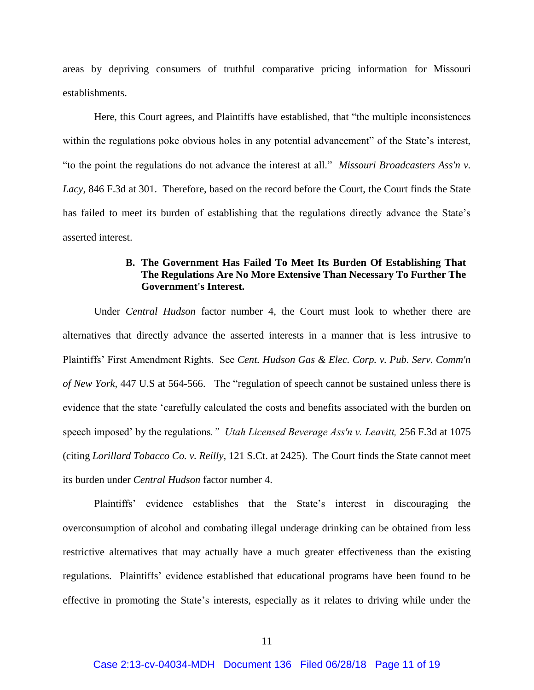areas by depriving consumers of truthful comparative pricing information for Missouri establishments.

Here, this Court agrees, and Plaintiffs have established, that "the multiple inconsistences within the regulations poke obvious holes in any potential advancement" of the State's interest, "to the point the regulations do not advance the interest at all." *Missouri Broadcasters Ass'n v. Lacy*, 846 F.3d at 301. Therefore, based on the record before the Court, the Court finds the State has failed to meet its burden of establishing that the regulations directly advance the State's asserted interest.

# **B. The Government Has Failed To Meet Its Burden Of Establishing That The Regulations Are No More Extensive Than Necessary To Further The Government's Interest.**

Under *Central Hudson* factor number 4, the Court must look to whether there are alternatives that directly advance the asserted interests in a manner that is less intrusive to Plaintiffs' First Amendment Rights. See *Cent. Hudson Gas & Elec. Corp. v. Pub. Serv. Comm'n of New York,* 447 U.S at 564-566. The "regulation of speech cannot be sustained unless there is evidence that the state 'carefully calculated the costs and benefits associated with the burden on speech imposed' by the regulations*." Utah Licensed Beverage Ass'n v. Leavitt,* 256 F.3d at 1075 (citing *Lorillard Tobacco Co. v. Reilly,* 121 S.Ct. at 2425). The Court finds the State cannot meet its burden under *Central Hudson* factor number 4.

Plaintiffs' evidence establishes that the State's interest in discouraging the overconsumption of alcohol and combating illegal underage drinking can be obtained from less restrictive alternatives that may actually have a much greater effectiveness than the existing regulations. Plaintiffs' evidence established that educational programs have been found to be effective in promoting the State's interests, especially as it relates to driving while under the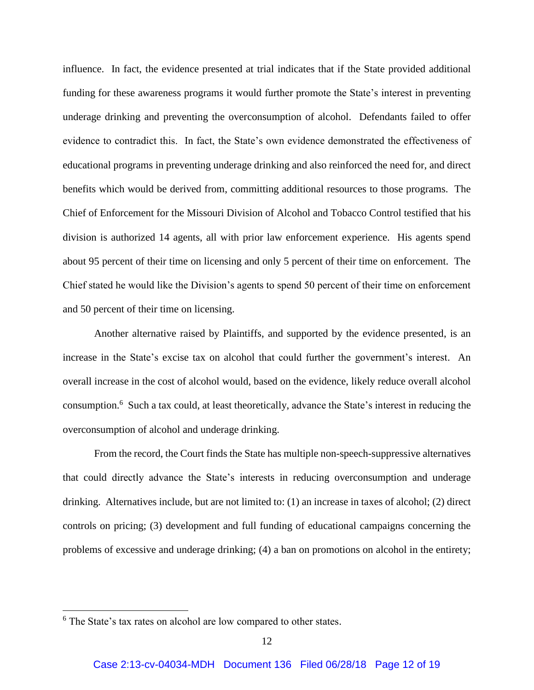influence. In fact, the evidence presented at trial indicates that if the State provided additional funding for these awareness programs it would further promote the State's interest in preventing underage drinking and preventing the overconsumption of alcohol. Defendants failed to offer evidence to contradict this. In fact, the State's own evidence demonstrated the effectiveness of educational programs in preventing underage drinking and also reinforced the need for, and direct benefits which would be derived from, committing additional resources to those programs. The Chief of Enforcement for the Missouri Division of Alcohol and Tobacco Control testified that his division is authorized 14 agents, all with prior law enforcement experience. His agents spend about 95 percent of their time on licensing and only 5 percent of their time on enforcement. The Chief stated he would like the Division's agents to spend 50 percent of their time on enforcement and 50 percent of their time on licensing.

Another alternative raised by Plaintiffs, and supported by the evidence presented, is an increase in the State's excise tax on alcohol that could further the government's interest. An overall increase in the cost of alcohol would, based on the evidence, likely reduce overall alcohol consumption. 6 Such a tax could, at least theoretically, advance the State's interest in reducing the overconsumption of alcohol and underage drinking.

From the record, the Court finds the State has multiple non-speech-suppressive alternatives that could directly advance the State's interests in reducing overconsumption and underage drinking. Alternatives include, but are not limited to: (1) an increase in taxes of alcohol; (2) direct controls on pricing; (3) development and full funding of educational campaigns concerning the problems of excessive and underage drinking; (4) a ban on promotions on alcohol in the entirety;

 $\overline{\phantom{a}}$ 

<sup>6</sup> The State's tax rates on alcohol are low compared to other states.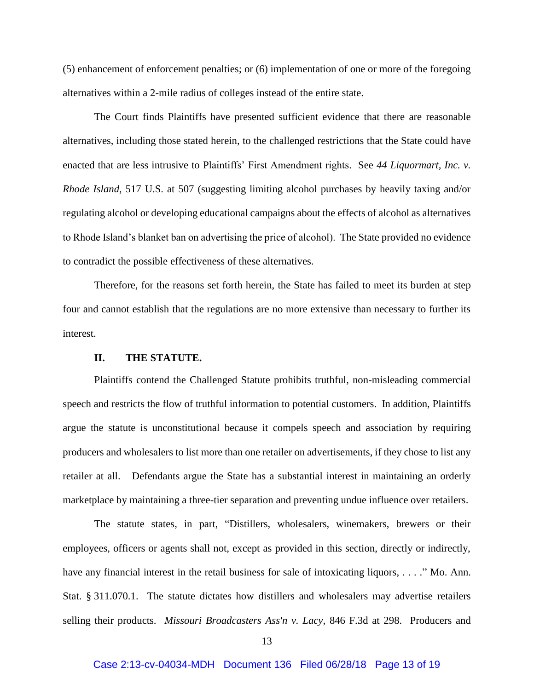(5) enhancement of enforcement penalties; or (6) implementation of one or more of the foregoing alternatives within a 2-mile radius of colleges instead of the entire state.

The Court finds Plaintiffs have presented sufficient evidence that there are reasonable alternatives, including those stated herein, to the challenged restrictions that the State could have enacted that are less intrusive to Plaintiffs' First Amendment rights. See *44 Liquormart, Inc. v. Rhode Island*, 517 U.S. at 507 (suggesting limiting alcohol purchases by heavily taxing and/or regulating alcohol or developing educational campaigns about the effects of alcohol as alternatives to Rhode Island's blanket ban on advertising the price of alcohol). The State provided no evidence to contradict the possible effectiveness of these alternatives.

Therefore, for the reasons set forth herein, the State has failed to meet its burden at step four and cannot establish that the regulations are no more extensive than necessary to further its interest.

#### **II. THE STATUTE.**

Plaintiffs contend the Challenged Statute prohibits truthful, non-misleading commercial speech and restricts the flow of truthful information to potential customers. In addition, Plaintiffs argue the statute is unconstitutional because it compels speech and association by requiring producers and wholesalers to list more than one retailer on advertisements, if they chose to list any retailer at all. Defendants argue the State has a substantial interest in maintaining an orderly marketplace by maintaining a three-tier separation and preventing undue influence over retailers.

The statute states, in part, "Distillers, wholesalers, winemakers, brewers or their employees, officers or agents shall not, except as provided in this section, directly or indirectly, have any financial interest in the retail business for sale of intoxicating liquors, . . . ." Mo. Ann. Stat. § 311.070.1. The statute dictates how distillers and wholesalers may advertise retailers selling their products. *Missouri Broadcasters Ass'n v. Lacy*, 846 F.3d at 298. Producers and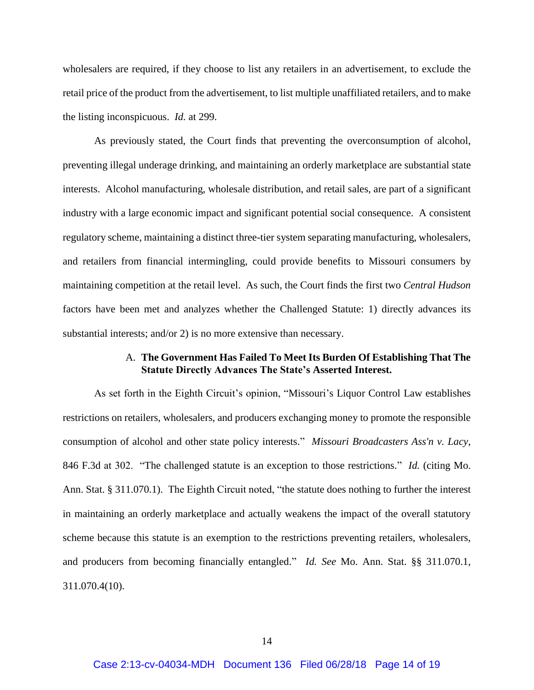wholesalers are required, if they choose to list any retailers in an advertisement, to exclude the retail price of the product from the advertisement, to list multiple unaffiliated retailers, and to make the listing inconspicuous. *Id.* at 299.

As previously stated, the Court finds that preventing the overconsumption of alcohol, preventing illegal underage drinking, and maintaining an orderly marketplace are substantial state interests. Alcohol manufacturing, wholesale distribution, and retail sales, are part of a significant industry with a large economic impact and significant potential social consequence. A consistent regulatory scheme, maintaining a distinct three-tier system separating manufacturing, wholesalers, and retailers from financial intermingling, could provide benefits to Missouri consumers by maintaining competition at the retail level. As such, the Court finds the first two *Central Hudson* factors have been met and analyzes whether the Challenged Statute: 1) directly advances its substantial interests; and/or 2) is no more extensive than necessary.

### A. **The Government Has Failed To Meet Its Burden Of Establishing That The Statute Directly Advances The State's Asserted Interest.**

As set forth in the Eighth Circuit's opinion, "Missouri's Liquor Control Law establishes restrictions on retailers, wholesalers, and producers exchanging money to promote the responsible consumption of alcohol and other state policy interests." *Missouri Broadcasters Ass'n v. Lacy*, 846 F.3d at 302. "The challenged statute is an exception to those restrictions." *Id.* (citing Mo. Ann. Stat. § 311.070.1). The Eighth Circuit noted, "the statute does nothing to further the interest in maintaining an orderly marketplace and actually weakens the impact of the overall statutory scheme because this statute is an exemption to the restrictions preventing retailers, wholesalers, and producers from becoming financially entangled." *Id. See* Mo. Ann. Stat. §§ 311.070.1, 311.070.4(10).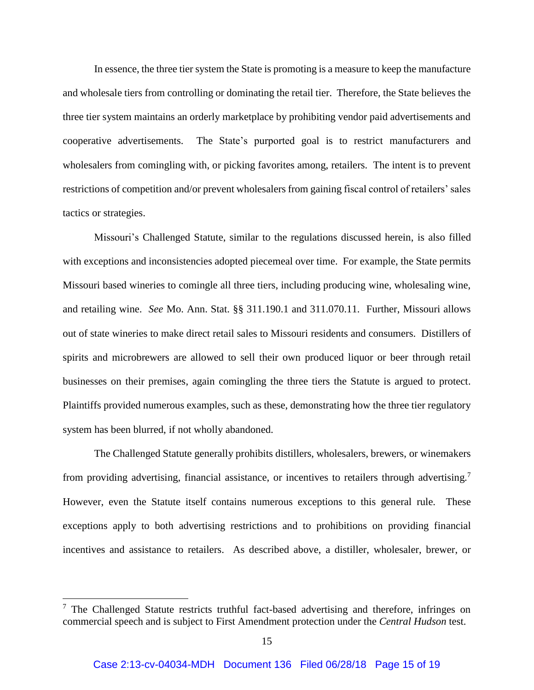In essence, the three tier system the State is promoting is a measure to keep the manufacture and wholesale tiers from controlling or dominating the retail tier. Therefore, the State believes the three tier system maintains an orderly marketplace by prohibiting vendor paid advertisements and cooperative advertisements. The State's purported goal is to restrict manufacturers and wholesalers from comingling with, or picking favorites among, retailers. The intent is to prevent restrictions of competition and/or prevent wholesalers from gaining fiscal control of retailers' sales tactics or strategies.

Missouri's Challenged Statute, similar to the regulations discussed herein, is also filled with exceptions and inconsistencies adopted piecemeal over time. For example, the State permits Missouri based wineries to comingle all three tiers, including producing wine, wholesaling wine, and retailing wine. *See* Mo. Ann. Stat. §§ 311.190.1 and 311.070.11. Further, Missouri allows out of state wineries to make direct retail sales to Missouri residents and consumers. Distillers of spirits and microbrewers are allowed to sell their own produced liquor or beer through retail businesses on their premises, again comingling the three tiers the Statute is argued to protect. Plaintiffs provided numerous examples, such as these, demonstrating how the three tier regulatory system has been blurred, if not wholly abandoned.

The Challenged Statute generally prohibits distillers, wholesalers, brewers, or winemakers from providing advertising, financial assistance, or incentives to retailers through advertising.<sup>7</sup> However, even the Statute itself contains numerous exceptions to this general rule. These exceptions apply to both advertising restrictions and to prohibitions on providing financial incentives and assistance to retailers. As described above, a distiller, wholesaler, brewer, or

 $<sup>7</sup>$  The Challenged Statute restricts truthful fact-based advertising and therefore, infringes on</sup> commercial speech and is subject to First Amendment protection under the *Central Hudson* test.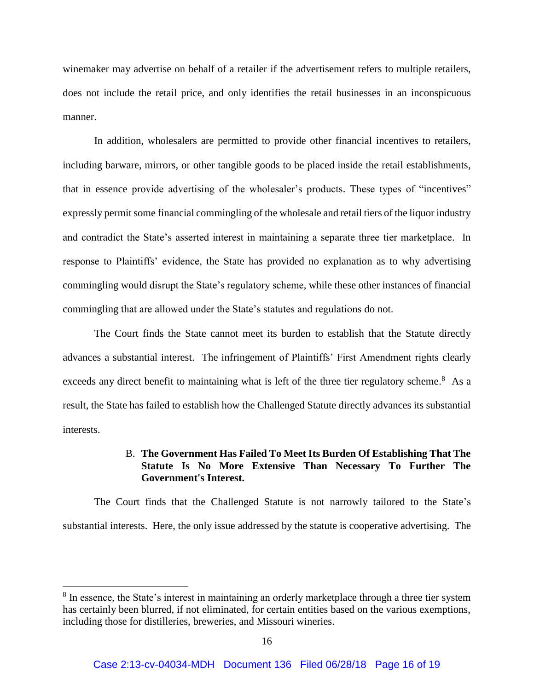winemaker may advertise on behalf of a retailer if the advertisement refers to multiple retailers, does not include the retail price, and only identifies the retail businesses in an inconspicuous manner.

In addition, wholesalers are permitted to provide other financial incentives to retailers, including barware, mirrors, or other tangible goods to be placed inside the retail establishments, that in essence provide advertising of the wholesaler's products. These types of "incentives" expressly permit some financial commingling of the wholesale and retail tiers of the liquor industry and contradict the State's asserted interest in maintaining a separate three tier marketplace. In response to Plaintiffs' evidence, the State has provided no explanation as to why advertising commingling would disrupt the State's regulatory scheme, while these other instances of financial commingling that are allowed under the State's statutes and regulations do not.

The Court finds the State cannot meet its burden to establish that the Statute directly advances a substantial interest. The infringement of Plaintiffs' First Amendment rights clearly exceeds any direct benefit to maintaining what is left of the three tier regulatory scheme.<sup>8</sup> As a result, the State has failed to establish how the Challenged Statute directly advances its substantial interests.

## B. **The Government Has Failed To Meet Its Burden Of Establishing That The Statute Is No More Extensive Than Necessary To Further The Government's Interest.**

The Court finds that the Challenged Statute is not narrowly tailored to the State's substantial interests. Here, the only issue addressed by the statute is cooperative advertising. The

<sup>&</sup>lt;sup>8</sup> In essence, the State's interest in maintaining an orderly marketplace through a three tier system has certainly been blurred, if not eliminated, for certain entities based on the various exemptions, including those for distilleries, breweries, and Missouri wineries.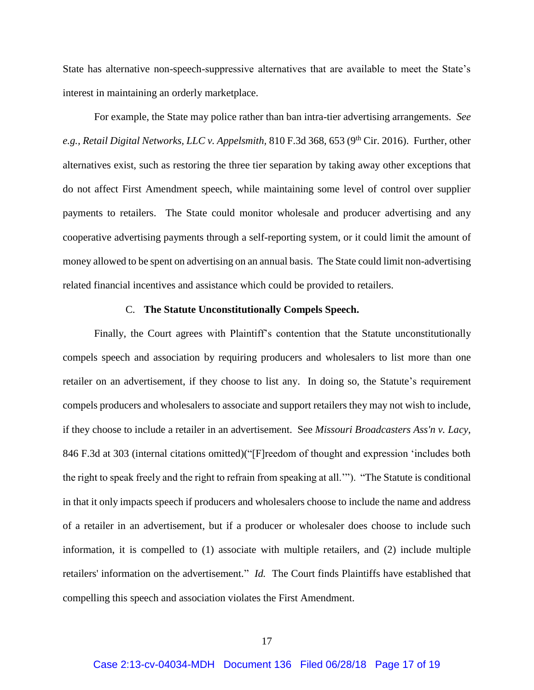State has alternative non-speech-suppressive alternatives that are available to meet the State's interest in maintaining an orderly marketplace.

For example, the State may police rather than ban intra-tier advertising arrangements. *See e.g., Retail Digital Networks, LLC v. Appelsmith, 810 F.3d 368, 653 (9<sup>th</sup> Cir. 2016). Further, other* alternatives exist, such as restoring the three tier separation by taking away other exceptions that do not affect First Amendment speech, while maintaining some level of control over supplier payments to retailers. The State could monitor wholesale and producer advertising and any cooperative advertising payments through a self-reporting system, or it could limit the amount of money allowed to be spent on advertising on an annual basis. The State could limit non-advertising related financial incentives and assistance which could be provided to retailers.

### C. **The Statute Unconstitutionally Compels Speech.**

Finally, the Court agrees with Plaintiff's contention that the Statute unconstitutionally compels speech and association by requiring producers and wholesalers to list more than one retailer on an advertisement, if they choose to list any. In doing so, the Statute's requirement compels producers and wholesalers to associate and support retailers they may not wish to include, if they choose to include a retailer in an advertisement. See *Missouri Broadcasters Ass'n v. Lacy,* 846 F.3d at 303 (internal citations omitted)("[F]reedom of thought and expression 'includes both the right to speak freely and the right to refrain from speaking at all.'"). "The Statute is conditional in that it only impacts speech if producers and wholesalers choose to include the name and address of a retailer in an advertisement, but if a producer or wholesaler does choose to include such information, it is compelled to (1) associate with multiple retailers, and (2) include multiple retailers' information on the advertisement." *Id.* The Court finds Plaintiffs have established that compelling this speech and association violates the First Amendment.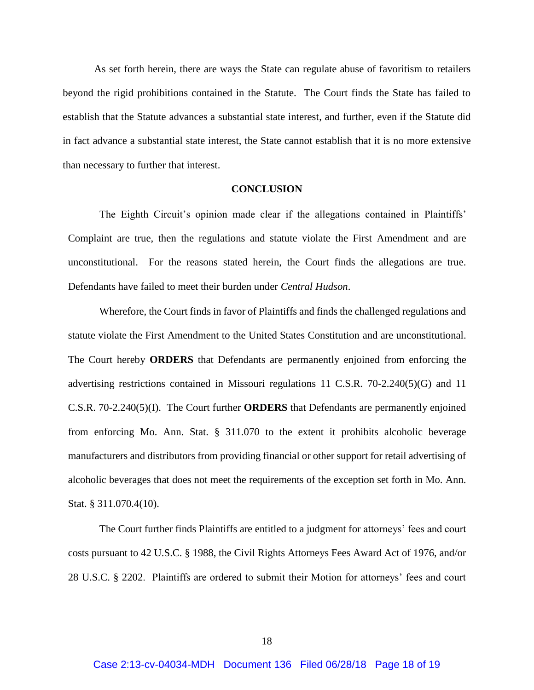As set forth herein, there are ways the State can regulate abuse of favoritism to retailers beyond the rigid prohibitions contained in the Statute. The Court finds the State has failed to establish that the Statute advances a substantial state interest, and further, even if the Statute did in fact advance a substantial state interest, the State cannot establish that it is no more extensive than necessary to further that interest.

### **CONCLUSION**

The Eighth Circuit's opinion made clear if the allegations contained in Plaintiffs' Complaint are true, then the regulations and statute violate the First Amendment and are unconstitutional. For the reasons stated herein, the Court finds the allegations are true. Defendants have failed to meet their burden under *Central Hudson*.

Wherefore, the Court finds in favor of Plaintiffs and finds the challenged regulations and statute violate the First Amendment to the United States Constitution and are unconstitutional. The Court hereby **ORDERS** that Defendants are permanently enjoined from enforcing the advertising restrictions contained in Missouri regulations 11 C.S.R. 70-2.240(5)(G) and 11 C.S.R. 70-2.240(5)(I). The Court further **ORDERS** that Defendants are permanently enjoined from enforcing Mo. Ann. Stat. § 311.070 to the extent it prohibits alcoholic beverage manufacturers and distributors from providing financial or other support for retail advertising of alcoholic beverages that does not meet the requirements of the exception set forth in Mo. Ann. Stat. § 311.070.4(10).

The Court further finds Plaintiffs are entitled to a judgment for attorneys' fees and court costs pursuant to 42 U.S.C. § 1988, the Civil Rights Attorneys Fees Award Act of 1976, and/or 28 U.S.C. § 2202. Plaintiffs are ordered to submit their Motion for attorneys' fees and court